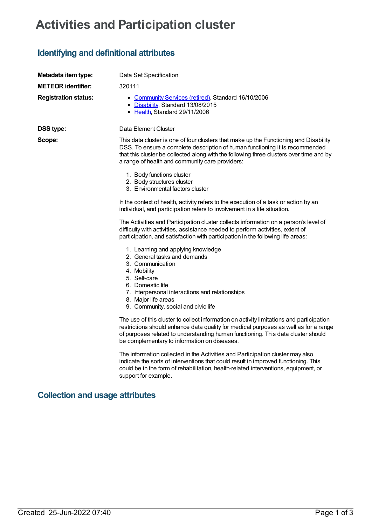## **Activities and Participation cluster**

## **Identifying and definitional attributes**

| Metadata item type:                    | Data Set Specification                                                                                                                                                                                                                                                                                               |
|----------------------------------------|----------------------------------------------------------------------------------------------------------------------------------------------------------------------------------------------------------------------------------------------------------------------------------------------------------------------|
| <b>METEOR identifier:</b>              | 320111                                                                                                                                                                                                                                                                                                               |
| <b>Registration status:</b>            | • Community Services (retired), Standard 16/10/2006<br>• Disability, Standard 13/08/2015<br>• Health, Standard 29/11/2006                                                                                                                                                                                            |
| <b>DSS type:</b>                       | Data Element Cluster                                                                                                                                                                                                                                                                                                 |
| Scope:                                 | This data cluster is one of four clusters that make up the Functioning and Disability<br>DSS. To ensure a complete description of human functioning it is recommended<br>that this cluster be collected along with the following three clusters over time and by<br>a range of health and community care providers:  |
|                                        | 1. Body functions cluster<br>2. Body structures cluster<br>3. Environmental factors cluster                                                                                                                                                                                                                          |
|                                        | In the context of health, activity refers to the execution of a task or action by an<br>individual, and participation refers to involvement in a life situation.                                                                                                                                                     |
|                                        | The Activities and Participation cluster collects information on a person's level of<br>difficulty with activities, assistance needed to perform activities, extent of<br>participation, and satisfaction with participation in the following life areas:                                                            |
|                                        | 1. Learning and applying knowledge<br>2. General tasks and demands<br>3. Communication<br>4. Mobility<br>5. Self-care<br>6. Domestic life<br>7. Interpersonal interactions and relationships<br>8. Major life areas<br>9. Community, social and civic life                                                           |
|                                        | The use of this cluster to collect information on activity limitations and participation<br>restrictions should enhance data quality for medical purposes as well as for a range<br>of purposes related to understanding human functioning. This data cluster should<br>be complementary to information on diseases. |
|                                        | The information collected in the Activities and Participation cluster may also<br>indicate the sorts of interventions that could result in improved functioning. This<br>could be in the form of rehabilitation, health-related interventions, equipment, or<br>support for example.                                 |
| <b>Collection and usage attributes</b> |                                                                                                                                                                                                                                                                                                                      |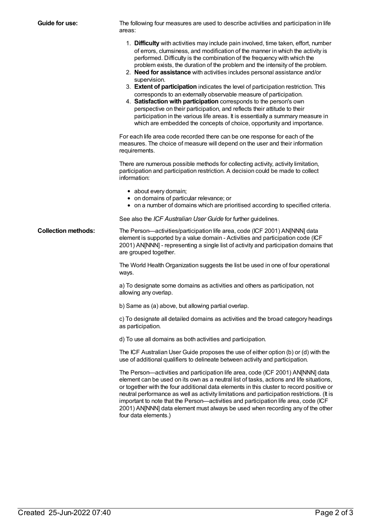| Guide for use:             | The following four measures are used to describe activities and participation in life<br>areas:                                                                                                                                                                                                                                                                                                                                                                                                                                                                                                                                                                                                                                                                                                                                                                                                           |
|----------------------------|-----------------------------------------------------------------------------------------------------------------------------------------------------------------------------------------------------------------------------------------------------------------------------------------------------------------------------------------------------------------------------------------------------------------------------------------------------------------------------------------------------------------------------------------------------------------------------------------------------------------------------------------------------------------------------------------------------------------------------------------------------------------------------------------------------------------------------------------------------------------------------------------------------------|
|                            | 1. Difficulty with activities may include pain involved, time taken, effort, number<br>of errors, clumsiness, and modification of the manner in which the activity is<br>performed. Difficulty is the combination of the frequency with which the<br>problem exists, the duration of the problem and the intensity of the problem.<br>2. Need for assistance with activities includes personal assistance and/or<br>supervision.<br>3. Extent of participation indicates the level of participation restriction. This<br>corresponds to an externally observable measure of participation.<br>4. Satisfaction with participation corresponds to the person's own<br>perspective on their participation, and reflects their attitude to their<br>participation in the various life areas. It is essentially a summary measure in<br>which are embedded the concepts of choice, opportunity and importance. |
|                            | For each life area code recorded there can be one response for each of the<br>measures. The choice of measure will depend on the user and their information<br>requirements.                                                                                                                                                                                                                                                                                                                                                                                                                                                                                                                                                                                                                                                                                                                              |
|                            | There are numerous possible methods for collecting activity, activity limitation,<br>participation and participation restriction. A decision could be made to collect<br>information:                                                                                                                                                                                                                                                                                                                                                                                                                                                                                                                                                                                                                                                                                                                     |
|                            | • about every domain;<br>• on domains of particular relevance; or<br>• on a number of domains which are prioritised according to specified criteria.                                                                                                                                                                                                                                                                                                                                                                                                                                                                                                                                                                                                                                                                                                                                                      |
|                            | See also the ICF Australian User Guide for further guidelines.                                                                                                                                                                                                                                                                                                                                                                                                                                                                                                                                                                                                                                                                                                                                                                                                                                            |
| <b>Collection methods:</b> | The Person—activities/participation life area, code (ICF 2001) AN[NNN] data<br>element is supported by a value domain - Activities and participation code (ICF<br>2001) AN[NNN] - representing a single list of activity and participation domains that<br>are grouped together.                                                                                                                                                                                                                                                                                                                                                                                                                                                                                                                                                                                                                          |
|                            | The World Health Organization suggests the list be used in one of four operational<br>ways.                                                                                                                                                                                                                                                                                                                                                                                                                                                                                                                                                                                                                                                                                                                                                                                                               |
|                            | a) To designate some domains as activities and others as participation, not<br>allowing any overlap.                                                                                                                                                                                                                                                                                                                                                                                                                                                                                                                                                                                                                                                                                                                                                                                                      |
|                            | b) Same as (a) above, but allowing partial overlap.                                                                                                                                                                                                                                                                                                                                                                                                                                                                                                                                                                                                                                                                                                                                                                                                                                                       |
|                            | c) To designate all detailed domains as activities and the broad category headings<br>as participation.                                                                                                                                                                                                                                                                                                                                                                                                                                                                                                                                                                                                                                                                                                                                                                                                   |
|                            | d) To use all domains as both activities and participation.                                                                                                                                                                                                                                                                                                                                                                                                                                                                                                                                                                                                                                                                                                                                                                                                                                               |
|                            | The ICF Australian User Guide proposes the use of either option (b) or (d) with the<br>use of additional qualifiers to delineate between activity and participation.                                                                                                                                                                                                                                                                                                                                                                                                                                                                                                                                                                                                                                                                                                                                      |
|                            | The Person—activities and participation life area, code (ICF 2001) AN[NNN] data<br>element can be used on its own as a neutral list of tasks, actions and life situations,<br>or together with the four additional data elements in this cluster to record positive or<br>neutral performance as well as activity limitations and participation restrictions. (It is<br>important to note that the Person-activities and participation life area, code (ICF<br>2001) AN[NNN] data element must always be used when recording any of the other<br>four data elements.)                                                                                                                                                                                                                                                                                                                                     |